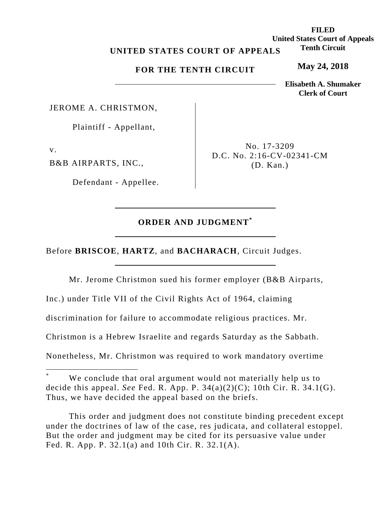# **UNITED STATES COURT OF APPEALS**

### **FOR THE TENTH CIRCUIT**

JEROME A. CHRISTMON,

Plaintiff - Appellant,

v.

B&B AIRPARTS, INC.,

Defendant - Appellee.

No. 17-3209 D.C. No. 2:16-CV-02341-CM (D. Kan.)

# **ORDER AND JUDGMENT\***

Before **BRISCOE**, **HARTZ**, and **BACHARACH**, Circuit Judges.

Mr. Jerome Christmon sued his former employer (B&B Airparts, Inc.) under Title VII of the Civil Rights Act of 1964, claiming discrimination for failure to accommodate religious practices. Mr. Christmon is a Hebrew Israelite and regards Saturday as the Sabbath. Nonetheless, Mr. Christmon was required to work mandatory overtime

 This order and judgment does not constitute binding precedent except under the doctrines of law of the case, res judicata, and collateral estoppel. But the order and judgment may be cited for its persuasive value under Fed. R. App. P. 32.1(a) and 10th Cir. R. 32.1(A).

**FILED United States Court of Appeals Tenth Circuit** 

**May 24, 2018**

**Elisabeth A. Shumaker Clerk of Court**

<sup>\*</sup> We conclude that oral argument would not materially help us to decide this appeal. *See* Fed. R. App. P. 34(a)(2)(C); 10th Cir. R. 34.1(G). Thus, we have decided the appeal based on the briefs.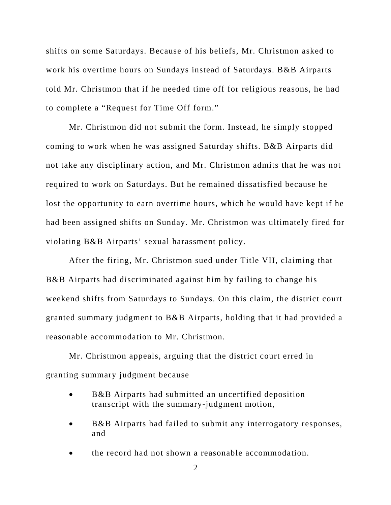shifts on some Saturdays. Because of his beliefs, Mr. Christmon asked to work his overtime hours on Sundays instead of Saturdays. B&B Airparts told Mr. Christmon that if he needed time off for religious reasons, he had to complete a "Request for Time Off form."

Mr. Christmon did not submit the form. Instead, he simply stopped coming to work when he was assigned Saturday shifts. B&B Airparts did not take any disciplinary action, and Mr. Christmon admits that he was not required to work on Saturdays. But he remained dissatisfied because he lost the opportunity to earn overtime hours, which he would have kept if he had been assigned shifts on Sunday. Mr. Christmon was ultimately fired for violating B&B Airparts' sexual harassment policy.

After the firing, Mr. Christmon sued under Title VII, claiming that B&B Airparts had discriminated against him by failing to change his weekend shifts from Saturdays to Sundays. On this claim, the district court granted summary judgment to B&B Airparts, holding that it had provided a reasonable accommodation to Mr. Christmon.

Mr. Christmon appeals, arguing that the district court erred in granting summary judgment because

- B&B Airparts had submitted an uncertified deposition transcript with the summary-judgment motion,
- B&B Airparts had failed to submit any interrogatory responses, and
- the record had not shown a reasonable accommodation.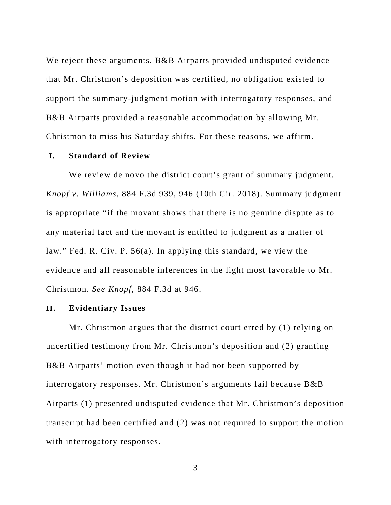We reject these arguments. B&B Airparts provided undisputed evidence that Mr. Christmon's deposition was certified, no obligation existed to support the summary-judgment motion with interrogatory responses, and B&B Airparts provided a reasonable accommodation by allowing Mr. Christmon to miss his Saturday shifts. For these reasons, we affirm.

# **I. Standard of Review**

We review de novo the district court's grant of summary judgment. *Knopf v. Williams*, 884 F.3d 939, 946 (10th Cir. 2018). Summary judgment is appropriate "if the movant shows that there is no genuine dispute as to any material fact and the movant is entitled to judgment as a matter of law." Fed. R. Civ. P. 56(a). In applying this standard, we view the evidence and all reasonable inferences in the light most favorable to Mr. Christmon. *See Knopf*, 884 F.3d at 946.

#### **II. Evidentiary Issues**

Mr. Christmon argues that the district court erred by (1) relying on uncertified testimony from Mr. Christmon's deposition and (2) granting B&B Airparts' motion even though it had not been supported by interrogatory responses. Mr. Christmon's arguments fail because B&B Airparts (1) presented undisputed evidence that Mr. Christmon's deposition transcript had been certified and (2) was not required to support the motion with interrogatory responses.

3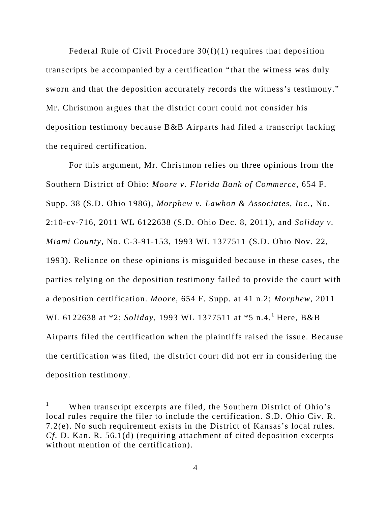Federal Rule of Civil Procedure 30(f)(1) requires that deposition transcripts be accompanied by a certification "that the witness was duly sworn and that the deposition accurately records the witness's testimony." Mr. Christmon argues that the district court could not consider his deposition testimony because B&B Airparts had filed a transcript lacking the required certification.

For this argument, Mr. Christmon relies on three opinions from the Southern District of Ohio: *Moore v. Florida Bank of Commerce*, 654 F. Supp. 38 (S.D. Ohio 1986), *Morphew v. Lawhon & Associates, Inc.*, No. 2:10-cv-716, 2011 WL 6122638 (S.D. Ohio Dec. 8, 2011), and *Soliday v. Miami County*, No. C-3-91-153, 1993 WL 1377511 (S.D. Ohio Nov. 22, 1993). Reliance on these opinions is misguided because in these cases, the parties relying on the deposition testimony failed to provide the court with a deposition certification. *Moore*, 654 F. Supp. at 41 n.2; *Morphew*, 2011 WL 6122638 at \*2; *Soliday*, 1993 WL 1377511 at \*5 n.4.<sup>1</sup> Here, B&B Airparts filed the certification when the plaintiffs raised the issue. Because the certification was filed, the district court did not err in considering the deposition testimony.

 $\overline{a}$ 

<sup>1</sup> When transcript excerpts are filed, the Southern District of Ohio's local rules require the filer to include the certification. S.D. Ohio Civ. R. 7.2(e). No such requirement exists in the District of Kansas's local rules. *Cf.* D. Kan. R. 56.1(d) (requiring attachment of cited deposition excerpts without mention of the certification).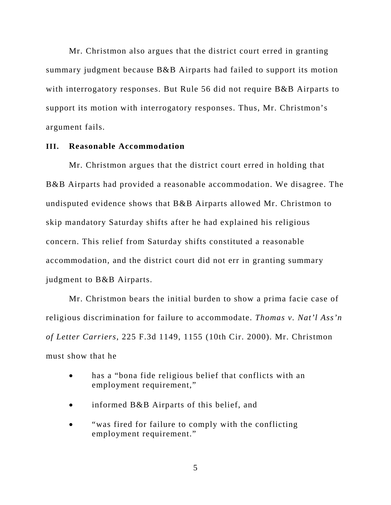Mr. Christmon also argues that the district court erred in granting summary judgment because B&B Airparts had failed to support its motion with interrogatory responses. But Rule 56 did not require B&B Airparts to support its motion with interrogatory responses. Thus, Mr. Christmon's argument fails.

#### **III. Reasonable Accommodation**

Mr. Christmon argues that the district court erred in holding that B&B Airparts had provided a reasonable accommodation. We disagree. The undisputed evidence shows that B&B Airparts allowed Mr. Christmon to skip mandatory Saturday shifts after he had explained his religious concern. This relief from Saturday shifts constituted a reasonable accommodation, and the district court did not err in granting summary judgment to B&B Airparts.

Mr. Christmon bears the initial burden to show a prima facie case of religious discrimination for failure to accommodate. *Thomas v. Nat'l Ass'n of Letter Carriers*, 225 F.3d 1149, 1155 (10th Cir. 2000). Mr. Christmon must show that he

- has a "bona fide religious belief that conflicts with an employment requirement,"
- informed B&B Airparts of this belief, and
- "was fired for failure to comply with the conflicting employment requirement."

5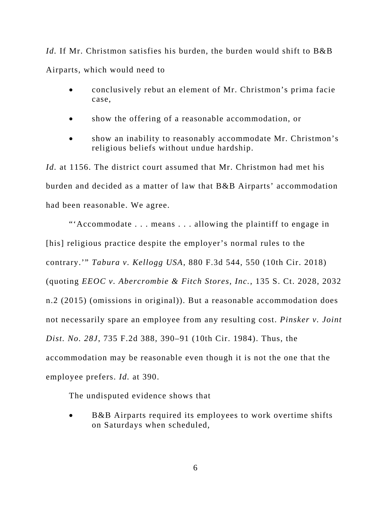*Id.* If Mr. Christmon satisfies his burden, the burden would shift to B&B Airparts, which would need to

- conclusively rebut an element of Mr. Christmon's prima facie case,
- show the offering of a reasonable accommodation, or
- show an inability to reasonably accommodate Mr. Christmon's religious beliefs without undue hardship.

*Id.* at 1156. The district court assumed that Mr. Christmon had met his burden and decided as a matter of law that B&B Airparts' accommodation had been reasonable. We agree.

"'Accommodate . . . means . . . allowing the plaintiff to engage in [his] religious practice despite the employer's normal rules to the contrary.'" *Tabura v. Kellogg USA*, 880 F.3d 544, 550 (10th Cir. 2018) (quoting *EEOC v. Abercrombie & Fitch Stores, Inc.*, 135 S. Ct. 2028, 2032 n.2 (2015) (omissions in original)). But a reasonable accommodation does not necessarily spare an employee from any resulting cost. *Pinsker v. Joint Dist. No. 28J*, 735 F.2d 388, 390–91 (10th Cir. 1984). Thus, the accommodation may be reasonable even though it is not the one that the employee prefers. *Id.* at 390.

The undisputed evidence shows that

 B&B Airparts required its employees to work overtime shifts on Saturdays when scheduled,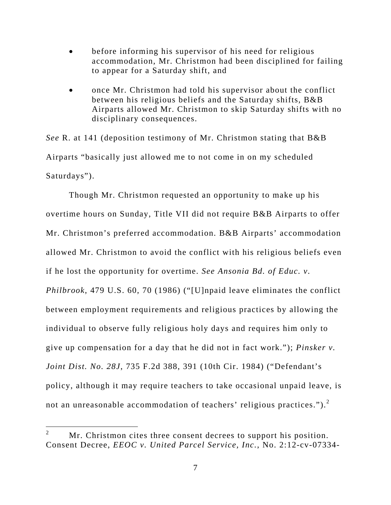- before informing his supervisor of his need for religious accommodation, Mr. Christmon had been disciplined for failing to appear for a Saturday shift, and
- once Mr. Christmon had told his supervisor about the conflict between his religious beliefs and the Saturday shifts, B&B Airparts allowed Mr. Christmon to skip Saturday shifts with no disciplinary consequences.

*See* R. at 141 (deposition testimony of Mr. Christmon stating that B&B Airparts "basically just allowed me to not come in on my scheduled Saturdays").

Though Mr. Christmon requested an opportunity to make up his overtime hours on Sunday, Title VII did not require B&B Airparts to offer Mr. Christmon's preferred accommodation. B&B Airparts' accommodation allowed Mr. Christmon to avoid the conflict with his religious beliefs even if he lost the opportunity for overtime. *See Ansonia Bd. of Educ. v. Philbrook*, 479 U.S. 60, 70 (1986) ("[U]npaid leave eliminates the conflict between employment requirements and religious practices by allowing the individual to observe fully religious holy days and requires him only to give up compensation for a day that he did not in fact work."); *Pinsker v. Joint Dist. No. 28J*, 735 F.2d 388, 391 (10th Cir. 1984) ("Defendant's policy, although it may require teachers to take occasional unpaid leave, is not an unreasonable accommodation of teachers' religious practices.").<sup>2</sup>

<sup>2</sup> Mr. Christmon cites three consent decrees to support his position. Consent Decree, *EEOC v. United Parcel Service, Inc.*, No. 2:12-cv-07334-